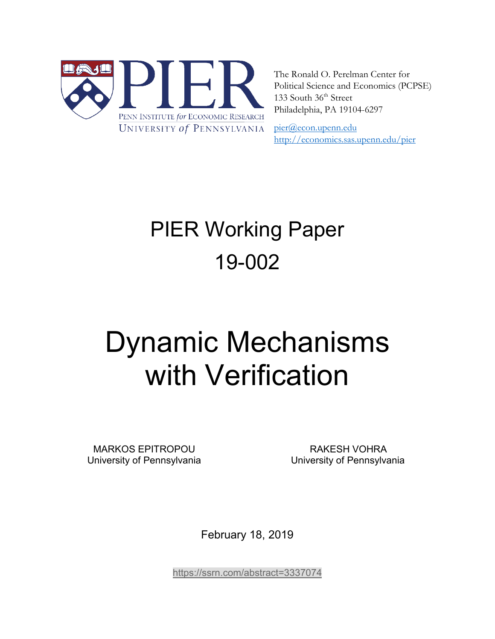

The Ronald O. Perelman Center for Political Science and Economics (PCPSE) 133 South 36<sup>th</sup> Street Philadelphia, PA 19104-6297

[pier@econ.upenn.edu](mailto:pier@econ.upenn.edu)  <http://economics.sas.upenn.edu/pier>

# PIER Working Paper 19-002

# Dynamic Mechanisms with Verification

MARKOS EPITROPOU RAKESH VOHRA University of Pennsylvania University of Pennsylvania

February 18, 2019

<https://ssrn.com/abstract=3337074>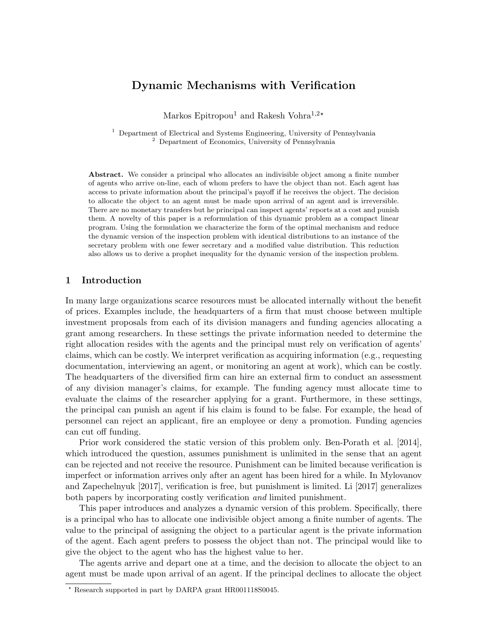### Dynamic Mechanisms with Verification

Markos Epitropou<sup>1</sup> and Rakesh Vohra<sup>1,2\*</sup>

<sup>1</sup> Department of Electrical and Systems Engineering, University of Pennsylvania <sup>2</sup> Department of Economics, University of Pennsylvania

Abstract. We consider a principal who allocates an indivisible object among a finite number of agents who arrive on-line, each of whom prefers to have the object than not. Each agent has access to private information about the principal's payoff if he receives the object. The decision to allocate the object to an agent must be made upon arrival of an agent and is irreversible. There are no monetary transfers but he principal can inspect agents' reports at a cost and punish them. A novelty of this paper is a reformulation of this dynamic problem as a compact linear program. Using the formulation we characterize the form of the optimal mechanism and reduce the dynamic version of the inspection problem with identical distributions to an instance of the secretary problem with one fewer secretary and a modified value distribution. This reduction also allows us to derive a prophet inequality for the dynamic version of the inspection problem.

#### 1 Introduction

In many large organizations scarce resources must be allocated internally without the benefit of prices. Examples include, the headquarters of a firm that must choose between multiple investment proposals from each of its division managers and funding agencies allocating a grant among researchers. In these settings the private information needed to determine the right allocation resides with the agents and the principal must rely on verification of agents' claims, which can be costly. We interpret verification as acquiring information (e.g., requesting documentation, interviewing an agent, or monitoring an agent at work), which can be costly. The headquarters of the diversified firm can hire an external firm to conduct an assessment of any division manager's claims, for example. The funding agency must allocate time to evaluate the claims of the researcher applying for a grant. Furthermore, in these settings, the principal can punish an agent if his claim is found to be false. For example, the head of personnel can reject an applicant, fire an employee or deny a promotion. Funding agencies can cut off funding.

Prior work considered the static version of this problem only. Ben-Porath et al. [2014], which introduced the question, assumes punishment is unlimited in the sense that an agent can be rejected and not receive the resource. Punishment can be limited because verification is imperfect or information arrives only after an agent has been hired for a while. In Mylovanov and Zapechelnyuk [2017], verification is free, but punishment is limited. Li [2017] generalizes both papers by incorporating costly verification and limited punishment.

This paper introduces and analyzes a dynamic version of this problem. Specifically, there is a principal who has to allocate one indivisible object among a finite number of agents. The value to the principal of assigning the object to a particular agent is the private information of the agent. Each agent prefers to possess the object than not. The principal would like to give the object to the agent who has the highest value to her.

The agents arrive and depart one at a time, and the decision to allocate the object to an agent must be made upon arrival of an agent. If the principal declines to allocate the object

<sup>?</sup> Research supported in part by DARPA grant HR001118S0045.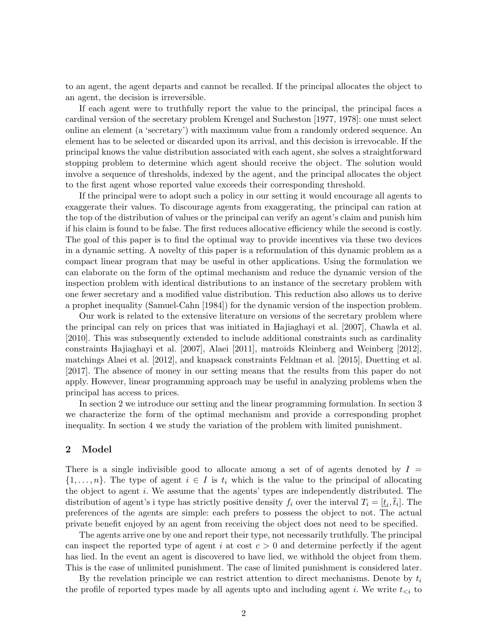to an agent, the agent departs and cannot be recalled. If the principal allocates the object to an agent, the decision is irreversible.

If each agent were to truthfully report the value to the principal, the principal faces a cardinal version of the secretary problem Krengel and Sucheston [1977, 1978]: one must select online an element (a 'secretary') with maximum value from a randomly ordered sequence. An element has to be selected or discarded upon its arrival, and this decision is irrevocable. If the principal knows the value distribution associated with each agent, she solves a straightforward stopping problem to determine which agent should receive the object. The solution would involve a sequence of thresholds, indexed by the agent, and the principal allocates the object to the first agent whose reported value exceeds their corresponding threshold.

If the principal were to adopt such a policy in our setting it would encourage all agents to exaggerate their values. To discourage agents from exaggerating, the principal can ration at the top of the distribution of values or the principal can verify an agent's claim and punish him if his claim is found to be false. The first reduces allocative efficiency while the second is costly. The goal of this paper is to find the optimal way to provide incentives via these two devices in a dynamic setting. A novelty of this paper is a reformulation of this dynamic problem as a compact linear program that may be useful in other applications. Using the formulation we can elaborate on the form of the optimal mechanism and reduce the dynamic version of the inspection problem with identical distributions to an instance of the secretary problem with one fewer secretary and a modified value distribution. This reduction also allows us to derive a prophet inequality (Samuel-Cahn [1984]) for the dynamic version of the inspection problem.

Our work is related to the extensive literature on versions of the secretary problem where the principal can rely on prices that was initiated in Hajiaghayi et al. [2007], Chawla et al. [2010]. This was subsequently extended to include additional constraints such as cardinality constraints Hajiaghayi et al. [2007], Alaei [2011], matroids Kleinberg and Weinberg [2012], matchings Alaei et al. [2012], and knapsack constraints Feldman et al. [2015], Duetting et al. [2017]. The absence of money in our setting means that the results from this paper do not apply. However, linear programming approach may be useful in analyzing problems when the principal has access to prices.

In section 2 we introduce our setting and the linear programming formulation. In section 3 we characterize the form of the optimal mechanism and provide a corresponding prophet inequality. In section 4 we study the variation of the problem with limited punishment.

#### 2 Model

There is a single indivisible good to allocate among a set of of agents denoted by  $I =$  $\{1,\ldots,n\}$ . The type of agent  $i \in I$  is  $t_i$  which is the value to the principal of allocating the object to agent i. We assume that the agents' types are independently distributed. The distribution of agent's i type has strictly positive density  $f_i$  over the interval  $T_i = [t_i, \bar{t}_i]$ . The preferences of the agents are simple: each prefers to possess the object to not. The actual private benefit enjoyed by an agent from receiving the object does not need to be specified.

The agents arrive one by one and report their type, not necessarily truthfully. The principal can inspect the reported type of agent i at cost  $c > 0$  and determine perfectly if the agent has lied. In the event an agent is discovered to have lied, we withhold the object from them. This is the case of unlimited punishment. The case of limited punishment is considered later.

By the revelation principle we can restrict attention to direct mechanisms. Denote by  $t_i$ the profile of reported types made by all agents upto and including agent i. We write  $t_{\leq i}$  to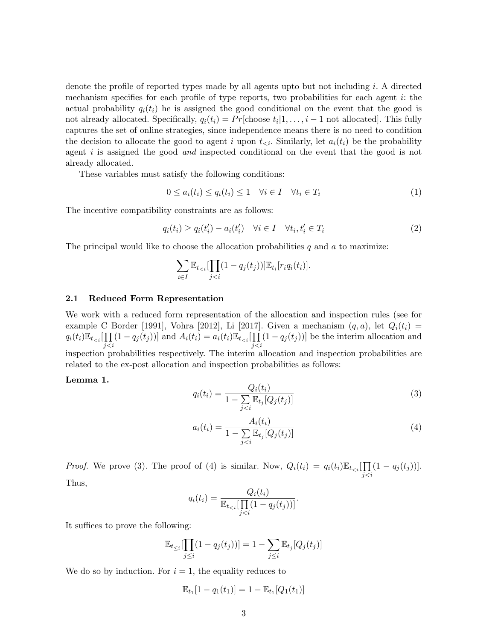denote the profile of reported types made by all agents upto but not including  $i$ . A directed mechanism specifies for each profile of type reports, two probabilities for each agent  $i$ : the actual probability  $q_i(t_i)$  he is assigned the good conditional on the event that the good is not already allocated. Specifically,  $q_i(t_i) = Pr[\text{choose } t_i | 1, \ldots, i-1 \text{ not allocated}]$ . This fully captures the set of online strategies, since independence means there is no need to condition the decision to allocate the good to agent i upon  $t_{\leq i}$ . Similarly, let  $a_i(t_i)$  be the probability agent i is assigned the good and inspected conditional on the event that the good is not already allocated.

These variables must satisfy the following conditions:

$$
0 \le a_i(t_i) \le q_i(t_i) \le 1 \quad \forall i \in I \quad \forall t_i \in T_i \tag{1}
$$

The incentive compatibility constraints are as follows:

$$
q_i(t_i) \ge q_i(t'_i) - a_i(t'_i) \quad \forall i \in I \quad \forall t_i, t'_i \in T_i
$$
\n
$$
(2)
$$

The principal would like to choose the allocation probabilities  $q$  and  $\alpha$  to maximize:

$$
\sum_{i\in I} \mathbb{E}_{t_{< i}}[\prod_{j< i} (1 - q_j(t_j))] \mathbb{E}_{t_i}[r_i q_i(t_i)].
$$

#### 2.1 Reduced Form Representation

We work with a reduced form representation of the allocation and inspection rules (see for example C Border [1991], Vohra [2012], Li [2017]. Given a mechanism  $(q, a)$ , let  $Q_i(t_i)$  =  $q_i(t_i) \mathbb{E}_{t \leq i}[\prod$  $\prod_{j < i} (1 - q_j(t_j))$  and  $A_i(t_i) = a_i(t_i) \mathbb{E}_{t_{i}} \prod_{j < i}$ j<i  $(1 - q_j(t_j))$  be the interim allocation and inspection probabilities respectively. The interim allocation and inspection probabilities are related to the ex-post allocation and inspection probabilities as follows:

#### Lemma 1.

$$
q_i(t_i) = \frac{Q_i(t_i)}{1 - \sum_{j < i} \mathbb{E}_{t_j}[Q_j(t_j)]} \tag{3}
$$

$$
a_i(t_i) = \frac{A_i(t_i)}{1 - \sum_{j < i} \mathbb{E}_{t_j}[Q_j(t_j)]} \tag{4}
$$

*Proof.* We prove (3). The proof of (4) is similar. Now,  $Q_i(t_i) = q_i(t_i) \mathbb{E}_{t \leq i}[\prod_{i=1}^{n}$ j<i  $(1 - q_j(t_j))$ . Thus,

$$
q_i(t_i) = \frac{Q_i(t_i)}{\mathbb{E}_{t_{i}}[\prod_{j
$$

It suffices to prove the following:

$$
\mathbb{E}_{t_{\leq i}}[\prod_{j\leq i}(1-q_j(t_j))]=1-\sum_{j\leq i}\mathbb{E}_{t_j}[Q_j(t_j)]
$$

We do so by induction. For  $i = 1$ , the equality reduces to

$$
\mathbb{E}_{t_1}[1 - q_1(t_1)] = 1 - \mathbb{E}_{t_1}[Q_1(t_1)]
$$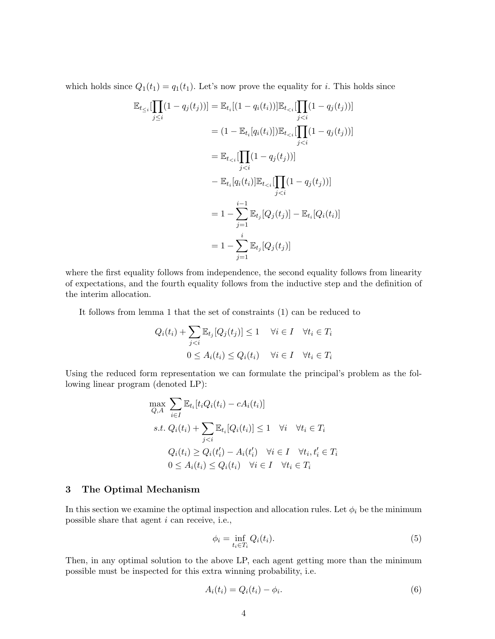which holds since  $Q_1(t_1) = q_1(t_1)$ . Let's now prove the equality for *i*. This holds since

$$
\mathbb{E}_{t_{\leq i}}[\prod_{j\leq i}(1-q_j(t_j))] = \mathbb{E}_{t_i}[(1-q_i(t_i))] \mathbb{E}_{t_{\leq i}}[\prod_{j\leq i}(1-q_j(t_j))]
$$
\n
$$
= (1 - \mathbb{E}_{t_i}[q_i(t_i)]) \mathbb{E}_{t_{\leq i}}[\prod_{j\leq i}(1-q_j(t_j))]
$$
\n
$$
= \mathbb{E}_{t_{\leq i}}[\prod_{j\leq i}(1-q_j(t_j))]
$$
\n
$$
- \mathbb{E}_{t_i}[q_i(t_i)] \mathbb{E}_{t_{\leq i}}[\prod_{j\leq i}(1-q_j(t_j))]
$$
\n
$$
= 1 - \sum_{j=1}^{i-1} \mathbb{E}_{t_j}[Q_j(t_j)] - \mathbb{E}_{t_i}[Q_i(t_i)]
$$
\n
$$
= 1 - \sum_{j=1}^{i} \mathbb{E}_{t_j}[Q_j(t_j)]
$$

where the first equality follows from independence, the second equality follows from linearity of expectations, and the fourth equality follows from the inductive step and the definition of the interim allocation.

It follows from lemma 1 that the set of constraints (1) can be reduced to

$$
Q_i(t_i) + \sum_{j < i} \mathbb{E}_{t_j}[Q_j(t_j)] \le 1 \quad \forall i \in I \quad \forall t_i \in T_i
$$
\n
$$
0 \le A_i(t_i) \le Q_i(t_i) \quad \forall i \in I \quad \forall t_i \in T_i
$$

Using the reduced form representation we can formulate the principal's problem as the following linear program (denoted LP):

$$
\max_{Q,A} \sum_{i \in I} \mathbb{E}_{t_i}[t_i Q_i(t_i) - cA_i(t_i)]
$$
\n
$$
s.t. Q_i(t_i) + \sum_{j < i} \mathbb{E}_{t_i}[Q_i(t_i)] \le 1 \quad \forall i \quad \forall t_i \in T_i
$$
\n
$$
Q_i(t_i) \ge Q_i(t_i') - A_i(t_i') \quad \forall i \in I \quad \forall t_i, t_i' \in T_i
$$
\n
$$
0 \le A_i(t_i) \le Q_i(t_i) \quad \forall i \in I \quad \forall t_i \in T_i
$$

#### 3 The Optimal Mechanism

In this section we examine the optimal inspection and allocation rules. Let  $\phi_i$  be the minimum possible share that agent i can receive, i.e.,

$$
\phi_i = \inf_{t_i \in T_i} Q_i(t_i). \tag{5}
$$

Then, in any optimal solution to the above LP, each agent getting more than the minimum possible must be inspected for this extra winning probability, i.e.

$$
A_i(t_i) = Q_i(t_i) - \phi_i.
$$
\n
$$
(6)
$$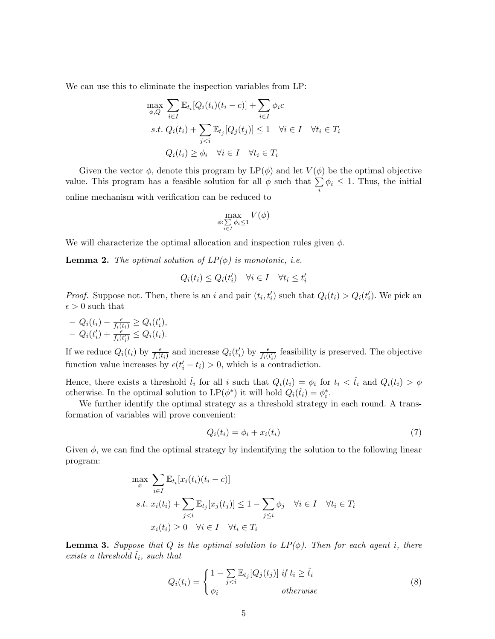We can use this to eliminate the inspection variables from LP:

$$
\max_{\phi, Q} \sum_{i \in I} \mathbb{E}_{t_i}[Q_i(t_i)(t_i - c)] + \sum_{i \in I} \phi_i c
$$
  
s.t.  $Q_i(t_i) + \sum_{j < i} \mathbb{E}_{t_j}[Q_j(t_j)] \le 1 \quad \forall i \in I \quad \forall t_i \in T_i$   
 $Q_i(t_i) \ge \phi_i \quad \forall i \in I \quad \forall t_i \in T_i$ 

Given the vector  $\phi$ , denote this program by  $LP(\phi)$  and let  $V(\phi)$  be the optimal objective value. This program has a feasible solution for all  $\phi$  such that  $\Sigma$ i  $\phi_i \leq 1$ . Thus, the initial online mechanism with verification can be reduced to

$$
\max_{\phi:\sum\limits_{i\in I}\phi_i\leq 1}V(\phi)
$$

We will characterize the optimal allocation and inspection rules given  $\phi$ .

**Lemma 2.** The optimal solution of  $LP(\phi)$  is monotonic, i.e.

$$
Q_i(t_i) \le Q_i(t'_i) \quad \forall i \in I \quad \forall t_i \le t'_i
$$

*Proof.* Suppose not. Then, there is an i and pair  $(t_i, t'_i)$  such that  $Q_i(t_i) > Q_i(t'_i)$ . We pick an  $\epsilon > 0$  such that

 $-Q_i(t_i) - \frac{\epsilon}{f_i(t_i)} \geq Q_i(t'_i),$  $-Q_i(t'_i)+\frac{\sum\limits_{i=1}^{i}t_i}{f_i(t'_i)}\leq Q_i(t_i).$ 

If we reduce  $Q_i(t_i)$  by  $\frac{\epsilon}{f_i(t_i)}$  and increase  $Q_i(t'_i)$  by  $\frac{\epsilon}{f_i(t'_i)}$  feasibility is preserved. The objective function value increases by  $\epsilon(t'_i - t_i) > 0$ , which is a contradiction.

Hence, there exists a threshold  $\hat{t}_i$  for all i such that  $Q_i(t_i) = \phi_i$  for  $t_i < \hat{t}_i$  and  $Q_i(t_i) > \phi_i$ otherwise. In the optimal solution to  $LP(\phi^*)$  it will hold  $Q_i(\hat{t}_i) = \phi_i^*$ .

We further identify the optimal strategy as a threshold strategy in each round. A transformation of variables will prove convenient:

$$
Q_i(t_i) = \phi_i + x_i(t_i) \tag{7}
$$

Given  $\phi$ , we can find the optimal strategy by indentifying the solution to the following linear program:

$$
\max_{x} \sum_{i \in I} \mathbb{E}_{t_i}[x_i(t_i)(t_i - c)]
$$
  
s.t.  $x_i(t_i) + \sum_{j < i} \mathbb{E}_{t_j}[x_j(t_j)] \le 1 - \sum_{j \le i} \phi_j \quad \forall i \in I \quad \forall t_i \in T_i$   
 $x_i(t_i) \ge 0 \quad \forall i \in I \quad \forall t_i \in T_i$ 

**Lemma 3.** Suppose that Q is the optimal solution to  $LP(\phi)$ . Then for each agent i, there exists a threshold  $\hat{t}_i$ , such that

$$
Q_i(t_i) = \begin{cases} 1 - \sum_{j < i} \mathbb{E}_{t_j}[Q_j(t_j)] \text{ if } t_i \geq \hat{t}_i \\ \phi_i & \text{otherwise} \end{cases} \tag{8}
$$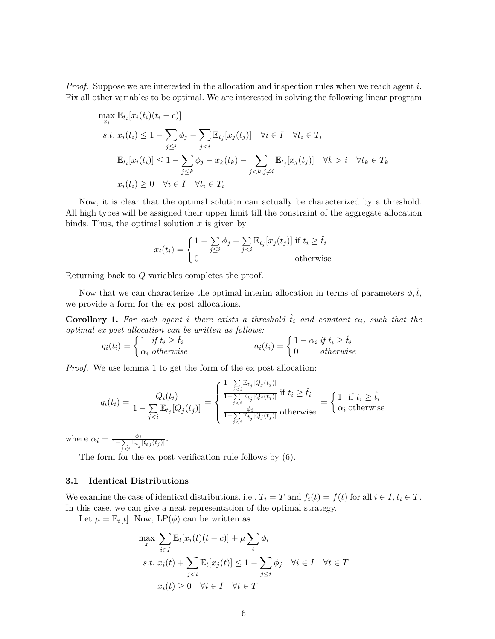*Proof.* Suppose we are interested in the allocation and inspection rules when we reach agent i. Fix all other variables to be optimal. We are interested in solving the following linear program

$$
\max_{x_i} \mathbb{E}_{t_i}[x_i(t_i)(t_i - c)]
$$
\n
$$
s.t. x_i(t_i) \le 1 - \sum_{j \le i} \phi_j - \sum_{j < i} \mathbb{E}_{t_j}[x_j(t_j)] \quad \forall i \in I \quad \forall t_i \in T_i
$$
\n
$$
\mathbb{E}_{t_i}[x_i(t_i)] \le 1 - \sum_{j \le k} \phi_j - x_k(t_k) - \sum_{j < k, j \ne i} \mathbb{E}_{t_j}[x_j(t_j)] \quad \forall k > i \quad \forall t_k \in T_k
$$
\n
$$
x_i(t_i) \ge 0 \quad \forall i \in I \quad \forall t_i \in T_i
$$

Now, it is clear that the optimal solution can actually be characterized by a threshold. All high types will be assigned their upper limit till the constraint of the aggregate allocation binds. Thus, the optimal solution  $x$  is given by

$$
x_i(t_i) = \begin{cases} 1 - \sum_{j \le i} \phi_j - \sum_{j < i} \mathbb{E}_{t_j}[x_j(t_j)] \text{ if } t_i \ge \hat{t}_i \\ 0 & \text{otherwise} \end{cases}
$$

Returning back to Q variables completes the proof.

Now that we can characterize the optimal interim allocation in terms of parameters  $\phi, \hat{t}$ , we provide a form for the ex post allocations.

**Corollary 1.** For each agent i there exists a threshold  $\hat{t}_i$  and constant  $\alpha_i$ , such that the optimal ex post allocation can be written as follows:

$$
q_i(t_i) = \begin{cases} 1 & \text{if } t_i \ge \hat{t}_i \\ \alpha_i & \text{otherwise} \end{cases} \qquad a_i(t_i) = \begin{cases} 1 - \alpha_i & \text{if } t_i \ge \hat{t}_i \\ 0 & \text{otherwise} \end{cases}
$$

Proof. We use lemma 1 to get the form of the ex post allocation:

$$
q_i(t_i) = \frac{Q_i(t_i)}{1 - \sum\limits_{j < i} \mathbb{E}_{t_j}[Q_j(t_j)]} = \begin{cases} \frac{1 - \sum\limits_{j < i} \mathbb{E}_{t_j}[Q_j(t_j)]}{1 - \sum\limits_{j < i} \mathbb{E}_{t_j}[Q_j(t_j)]} & \text{if } t_i \geq \hat{t}_i\\ \frac{\phi_i}{1 - \sum\limits_{j < i} \mathbb{E}_{t_j}[Q_j(t_j)]} & \text{otherwise} \end{cases} = \begin{cases} 1 & \text{if } t_i \geq \hat{t}_i\\ \alpha_i & \text{otherwise} \end{cases}
$$

where  $\alpha_i = \frac{\phi_i}{1-\sum_{k} \mathbb{E}_t}$  $\frac{\varphi_i}{1-\sum\limits_{j$ 

The form for the ex post verification rule follows by (6).

#### 3.1 Identical Distributions

We examine the case of identical distributions, i.e.,  $T_i = T$  and  $f_i(t) = f(t)$  for all  $i \in I, t_i \in T$ . In this case, we can give a neat representation of the optimal strategy.

Let  $\mu = \mathbb{E}_t[t]$ . Now, LP( $\phi$ ) can be written as

$$
\max_{x} \sum_{i \in I} \mathbb{E}_t[x_i(t)(t-c)] + \mu \sum_{i} \phi_i
$$
  
s.t.  $x_i(t) + \sum_{j < i} \mathbb{E}_t[x_j(t)] \le 1 - \sum_{j \le i} \phi_j \quad \forall i \in I \quad \forall t \in T$   
 $x_i(t) \ge 0 \quad \forall i \in I \quad \forall t \in T$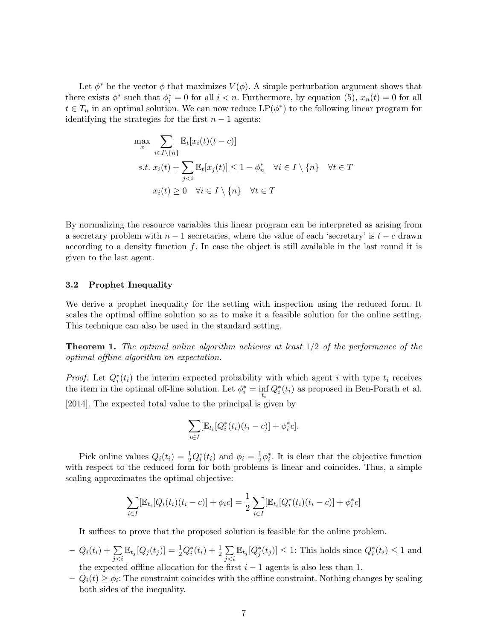Let  $\phi^*$  be the vector  $\phi$  that maximizes  $V(\phi)$ . A simple perturbation argument shows that there exists  $\phi^*$  such that  $\phi_i^* = 0$  for all  $i < n$ . Furthermore, by equation (5),  $x_n(t) = 0$  for all  $t \in T_n$  in an optimal solution. We can now reduce  $LP(\phi^*)$  to the following linear program for identifying the strategies for the first  $n - 1$  agents:

$$
\max_{x} \sum_{i \in I \setminus \{n\}} \mathbb{E}_t[x_i(t)(t-c)]
$$
  
s.t.  $x_i(t) + \sum_{j < i} \mathbb{E}_t[x_j(t)] \le 1 - \phi_n^* \quad \forall i \in I \setminus \{n\} \quad \forall t \in T$   
 $x_i(t) \ge 0 \quad \forall i \in I \setminus \{n\} \quad \forall t \in T$ 

By normalizing the resource variables this linear program can be interpreted as arising from a secretary problem with  $n-1$  secretaries, where the value of each 'secretary' is  $t - c$  drawn according to a density function  $f$ . In case the object is still available in the last round it is given to the last agent.

#### 3.2 Prophet Inequality

We derive a prophet inequality for the setting with inspection using the reduced form. It scales the optimal offline solution so as to make it a feasible solution for the online setting. This technique can also be used in the standard setting.

**Theorem 1.** The optimal online algorithm achieves at least  $1/2$  of the performance of the optimal offline algorithm on expectation.

*Proof.* Let  $Q_i^*(t_i)$  the interim expected probability with which agent i with type  $t_i$  receives the item in the optimal off-line solution. Let  $\phi_i^* = \inf_{t_i} Q_i^*(t_i)$  as proposed in Ben-Porath et al. [2014]. The expected total value to the principal is given by

$$
\sum_{i\in I} [\mathbb{E}_{t_i}[Q_i^*(t_i)(t_i-c)] + \phi_i^*c].
$$

Pick online values  $Q_i(t_i) = \frac{1}{2}Q_i^*(t_i)$  and  $\phi_i = \frac{1}{2}$  $\frac{1}{2}\phi_i^*$ . It is clear that the objective function with respect to the reduced form for both problems is linear and coincides. Thus, a simple scaling approximates the optimal objective:

$$
\sum_{i \in I} [\mathbb{E}_{t_i}[Q_i(t_i)(t_i - c)] + \phi_i c] = \frac{1}{2} \sum_{i \in I} [\mathbb{E}_{t_i}[Q_i^*(t_i)(t_i - c)] + \phi_i^* c]
$$

It suffices to prove that the proposed solution is feasible for the online problem.

- $Q_i(t_i) + \sum$  $\sum_{j \leq i} \mathbb{E}_{t_j} [Q_j(t_j)] = \frac{1}{2} Q_i^*(t_i) + \frac{1}{2} \sum_{j \leq i}$  $\sum_{j \leq i} \mathbb{E}_{t_j}[Q_j^*(t_j)] \leq 1$ : This holds since  $Q_i^*(t_i) \leq 1$  and the expected offline allocation for the first  $i - 1$  agents is also less than 1.
- $-Q_i(t) \geq \phi_i$ : The constraint coincides with the offline constraint. Nothing changes by scaling both sides of the inequality.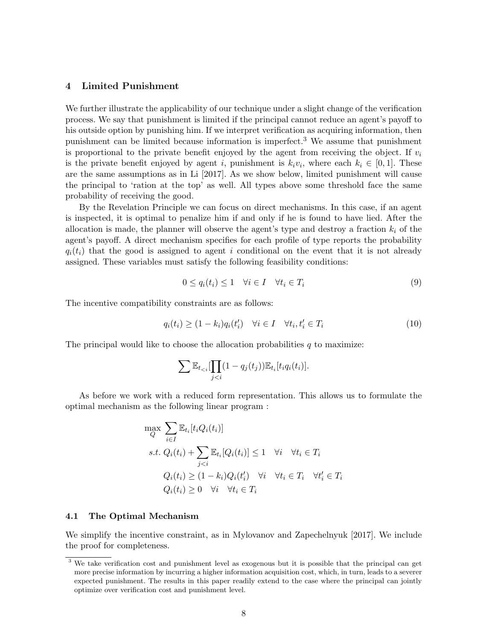#### 4 Limited Punishment

We further illustrate the applicability of our technique under a slight change of the verification process. We say that punishment is limited if the principal cannot reduce an agent's payoff to his outside option by punishing him. If we interpret verification as acquiring information, then punishment can be limited because information is imperfect.<sup>3</sup> We assume that punishment is proportional to the private benefit enjoyed by the agent from receiving the object. If  $v_i$ is the private benefit enjoyed by agent i, punishment is  $k_i v_i$ , where each  $k_i \in [0,1]$ . These are the same assumptions as in Li [2017]. As we show below, limited punishment will cause the principal to 'ration at the top' as well. All types above some threshold face the same probability of receiving the good.

By the Revelation Principle we can focus on direct mechanisms. In this case, if an agent is inspected, it is optimal to penalize him if and only if he is found to have lied. After the allocation is made, the planner will observe the agent's type and destroy a fraction  $k_i$  of the agent's payoff. A direct mechanism specifies for each profile of type reports the probability  $q_i(t_i)$  that the good is assigned to agent i conditional on the event that it is not already assigned. These variables must satisfy the following feasibility conditions:

$$
0 \le q_i(t_i) \le 1 \quad \forall i \in I \quad \forall t_i \in T_i \tag{9}
$$

The incentive compatibility constraints are as follows:

$$
q_i(t_i) \ge (1 - k_i)q_i(t'_i) \quad \forall i \in I \quad \forall t_i, t'_i \in T_i
$$
\n
$$
(10)
$$

The principal would like to choose the allocation probabilities  $q$  to maximize:

$$
\sum \mathbb{E}_{t_{< i}}[\prod_{j< i} (1 - q_j(t_j)) \mathbb{E}_{t_i}[t_i q_i(t_i)].
$$

As before we work with a reduced form representation. This allows us to formulate the optimal mechanism as the following linear program :

$$
\max_{Q} \sum_{i \in I} \mathbb{E}_{t_i}[t_i Q_i(t_i)]
$$
\n
$$
s.t. Q_i(t_i) + \sum_{j < i} \mathbb{E}_{t_i}[Q_i(t_i)] \le 1 \quad \forall i \quad \forall t_i \in T_i
$$
\n
$$
Q_i(t_i) \ge (1 - k_i)Q_i(t_i') \quad \forall i \quad \forall t_i \in T_i \quad \forall t_i' \in T_i
$$
\n
$$
Q_i(t_i) \ge 0 \quad \forall i \quad \forall t_i \in T_i
$$

#### 4.1 The Optimal Mechanism

We simplify the incentive constraint, as in Mylovanov and Zapechelnyuk [2017]. We include the proof for completeness.

<sup>&</sup>lt;sup>3</sup> We take verification cost and punishment level as exogenous but it is possible that the principal can get more precise information by incurring a higher information acquisition cost, which, in turn, leads to a severer expected punishment. The results in this paper readily extend to the case where the principal can jointly optimize over verification cost and punishment level.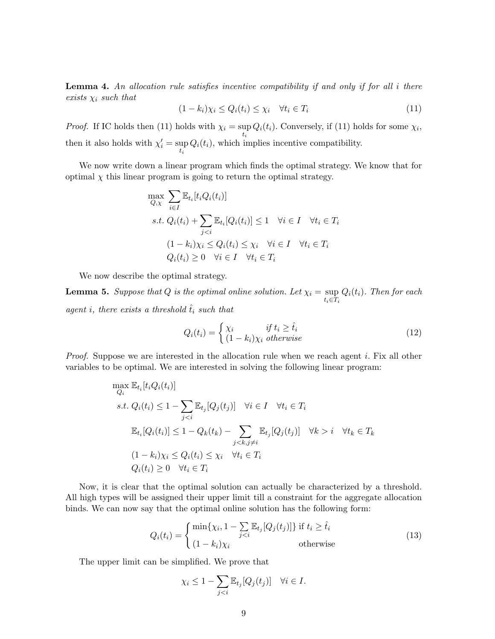Lemma 4. An allocation rule satisfies incentive compatibility if and only if for all i there exists  $\chi_i$  such that

$$
(1 - k_i)\chi_i \le Q_i(t_i) \le \chi_i \quad \forall t_i \in T_i \tag{11}
$$

*Proof.* If IC holds then (11) holds with  $\chi_i = \sup_{t_i} Q_i(t_i)$ . Conversely, if (11) holds for some  $\chi_i$ , then it also holds with  $\chi'_i = \sup_{t_i} Q_i(t_i)$ , which implies incentive compatibility.

We now write down a linear program which finds the optimal strategy. We know that for optimal  $\chi$  this linear program is going to return the optimal strategy.

$$
\max_{Q,\chi} \sum_{i \in I} \mathbb{E}_{t_i}[t_i Q_i(t_i)]
$$
\n
$$
s.t. Q_i(t_i) + \sum_{j < i} \mathbb{E}_{t_i}[Q_i(t_i)] \le 1 \quad \forall i \in I \quad \forall t_i \in T_i
$$
\n
$$
(1 - k_i)\chi_i \le Q_i(t_i) \le \chi_i \quad \forall i \in I \quad \forall t_i \in T_i
$$
\n
$$
Q_i(t_i) \ge 0 \quad \forall i \in I \quad \forall t_i \in T_i
$$

We now describe the optimal strategy.

**Lemma 5.** Suppose that Q is the optimal online solution. Let  $\chi_i = \sup$  $t_i \in T_i$  $Q_i(t_i)$ . Then for each agent i, there exists a threshold  $\hat{t}_i$  such that

$$
Q_i(t_i) = \begin{cases} \chi_i & \text{if } t_i \ge \hat{t}_i \\ (1 - k_i)\chi_i & \text{otherwise} \end{cases} \tag{12}
$$

Proof. Suppose we are interested in the allocation rule when we reach agent i. Fix all other variables to be optimal. We are interested in solving the following linear program:

$$
\max_{Q_i} \mathbb{E}_{t_i}[t_i Q_i(t_i)]
$$
\n
$$
s.t. Q_i(t_i) \le 1 - \sum_{j < i} \mathbb{E}_{t_j}[Q_j(t_j)] \quad \forall i \in I \quad \forall t_i \in T_i
$$
\n
$$
\mathbb{E}_{t_i}[Q_i(t_i)] \le 1 - Q_k(t_k) - \sum_{j < k, j \ne i} \mathbb{E}_{t_j}[Q_j(t_j)] \quad \forall k > i \quad \forall t_k \in T_k
$$
\n
$$
(1 - k_i)\chi_i \le Q_i(t_i) \le \chi_i \quad \forall t_i \in T_i
$$
\n
$$
Q_i(t_i) \ge 0 \quad \forall t_i \in T_i
$$

Now, it is clear that the optimal solution can actually be characterized by a threshold. All high types will be assigned their upper limit till a constraint for the aggregate allocation binds. We can now say that the optimal online solution has the following form:

$$
Q_i(t_i) = \begin{cases} \min\{\chi_i, 1 - \sum_{j < i} \mathbb{E}_{t_j}[Q_j(t_j)]\} & \text{if } t_i \ge \hat{t}_i\\ (1 - k_i)\chi_i & \text{otherwise} \end{cases} \tag{13}
$$

The upper limit can be simplified. We prove that

$$
\chi_i \leq 1 - \sum_{j < i} \mathbb{E}_{t_j}[Q_j(t_j)] \quad \forall i \in I.
$$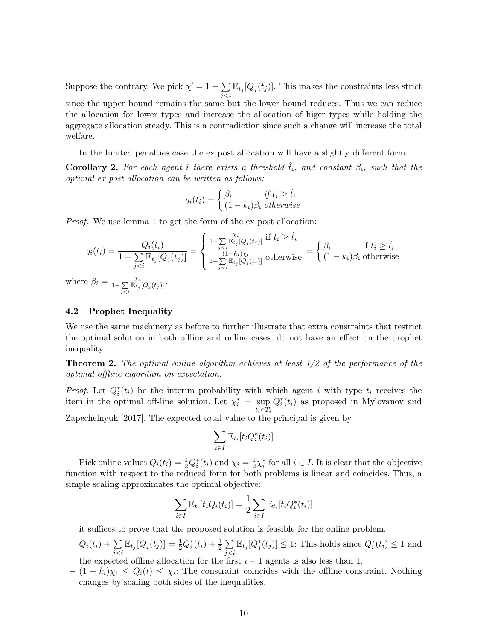Suppose the contrary. We pick  $\chi' = 1 - \sum$  $\sum_{j \leq i} \mathbb{E}_{t_j}[Q_j(t_j)].$  This makes the constraints less strict since the upper bound remains the same but the lower bound reduces. Thus we can reduce the allocation for lower types and increase the allocation of higer types while holding the aggregate allocation steady. This is a contradiction since such a change will increase the total welfare.

In the limited penalties case the ex post allocation will have a slightly different form.

**Corollary 2.** For each agent i there exists a threshold  $t_i$ , and constant  $\beta_i$ , such that the optimal ex post allocation can be written as follows:

$$
q_i(t_i) = \begin{cases} \beta_i & \text{if } t_i \geq \hat{t}_i \\ (1 - k_i)\beta_i & \text{otherwise} \end{cases}
$$

Proof. We use lemma 1 to get the form of the ex post allocation:

$$
q_i(t_i) = \frac{Q_i(t_i)}{1 - \sum\limits_{j < i} \mathbb{E}_{t_j}[Q_j(t_j)]} = \begin{cases} \frac{\chi_i}{1 - \sum\limits_{j < i} \mathbb{E}_{t_j}[Q_j(t_j)]} & \text{if } t_i \geq \hat{t}_i\\ \frac{(1 - k_i)\chi_i}{1 - \sum\limits_{j < i} \mathbb{E}_{t_j}[Q_j(t_j)]} & \text{otherwise} \end{cases} = \begin{cases} \beta_i & \text{if } t_i \geq \hat{t}_i\\ (1 - k_i)\beta_i & \text{otherwise} \end{cases}
$$
\n
$$
\text{re } \beta_i = \frac{\chi_i}{1 - \sum\limits_{j < i} \mathbb{E}_{t_j}[Q_j(t_j)]}.
$$

#### 4.2 Prophet Inequality

where

We use the same machinery as before to further illustrate that extra constraints that restrict the optimal solution in both offline and online cases, do not have an effect on the prophet inequality.

**Theorem 2.** The optimal online algorithm achieves at least  $1/2$  of the performance of the optimal offline algorithm on expectation.

*Proof.* Let  $Q_i^*(t_i)$  be the interim probability with which agent i with type  $t_i$  receives the item in the optimal off-line solution. Let  $\chi_i^* = \sup_{t_i \in T_i}$  $Q_i^*(t_i)$  as proposed in Mylovanov and

Zapechelnyuk [2017]. The expected total value to the principal is given by

$$
\sum_{i\in I}\mathbb{E}_{t_i}[t_iQ_i^*(t_i)]
$$

Pick online values  $Q_i(t_i) = \frac{1}{2} Q_i^*(t_i)$  and  $\chi_i = \frac{1}{2}$  $\frac{1}{2}\chi_i^*$  for all  $i \in I$ . It is clear that the objective function with respect to the reduced form for both problems is linear and coincides. Thus, a simple scaling approximates the optimal objective:

$$
\sum_{i \in I} \mathbb{E}_{t_i}[t_i Q_i(t_i)] = \frac{1}{2} \sum_{i \in I} \mathbb{E}_{t_i}[t_i Q_i^*(t_i)]
$$

it suffices to prove that the proposed solution is feasible for the online problem.

- $Q_i(t_i) + \sum$  $\sum_{j \leq i} \mathbb{E}_{t_j}[Q_j(t_j)] = \frac{1}{2}Q_i^*(t_i) + \frac{1}{2}\sum_{j \leq i}$  $\sum_{j \leq i} \mathbb{E}_{t_j}[Q_j^*(t_j)] \leq 1$ : This holds since  $Q_i^*(t_i) \leq 1$  and the expected offline allocation for the first  $i - 1$  agents is also less than 1.
- $(1 k_i)\chi_i \leq Q_i(t) \leq \chi_i$ : The constraint coincides with the offline constraint. Nothing changes by scaling both sides of the inequalities.